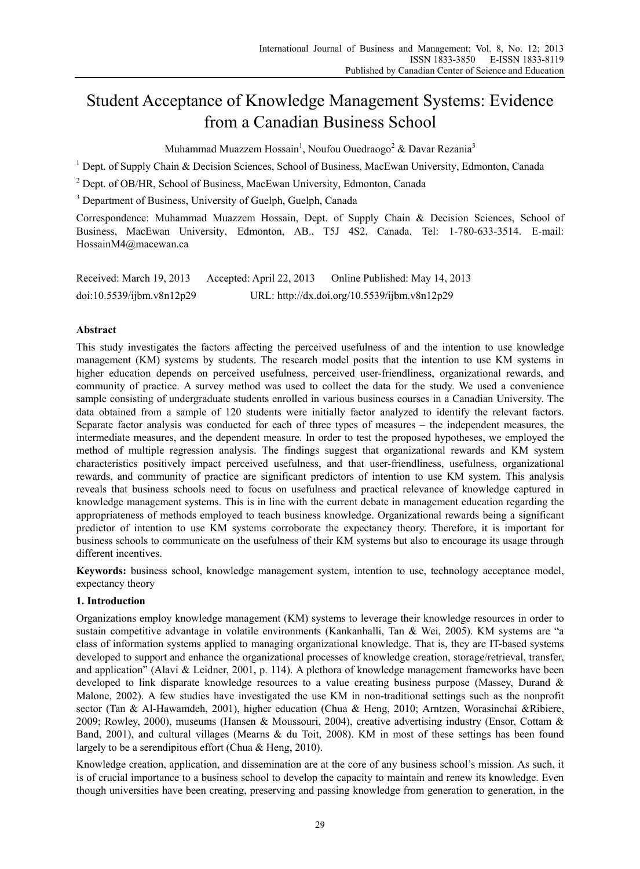# Student Acceptance of Knowledge Management Systems: Evidence from a Canadian Business School

Muhammad Muazzem Hossain $^1$ , Noufou Ouedraogo $^2$  & Davar Rezania $^3$ 

<sup>1</sup> Dept. of Supply Chain & Decision Sciences, School of Business, MacEwan University, Edmonton, Canada

<sup>2</sup> Dept. of OB/HR, School of Business, MacEwan University, Edmonton, Canada

<sup>3</sup> Department of Business, University of Guelph, Guelph, Canada

Correspondence: Muhammad Muazzem Hossain, Dept. of Supply Chain & Decision Sciences, School of Business, MacEwan University, Edmonton, AB., T5J 4S2, Canada. Tel: 1-780-633-3514. E-mail: HossainM4@macewan.ca

| Received: March 19, 2013  | Accepted: April 22, 2013 | Online Published: May 14, 2013               |
|---------------------------|--------------------------|----------------------------------------------|
| doi:10.5539/ijbm.v8n12p29 |                          | URL: http://dx.doi.org/10.5539/ijbm.v8n12p29 |

# **Abstract**

This study investigates the factors affecting the perceived usefulness of and the intention to use knowledge management (KM) systems by students. The research model posits that the intention to use KM systems in higher education depends on perceived usefulness, perceived user-friendliness, organizational rewards, and community of practice. A survey method was used to collect the data for the study. We used a convenience sample consisting of undergraduate students enrolled in various business courses in a Canadian University. The data obtained from a sample of 120 students were initially factor analyzed to identify the relevant factors. Separate factor analysis was conducted for each of three types of measures – the independent measures, the intermediate measures, and the dependent measure. In order to test the proposed hypotheses, we employed the method of multiple regression analysis. The findings suggest that organizational rewards and KM system characteristics positively impact perceived usefulness, and that user-friendliness, usefulness, organizational rewards, and community of practice are significant predictors of intention to use KM system. This analysis reveals that business schools need to focus on usefulness and practical relevance of knowledge captured in knowledge management systems. This is in line with the current debate in management education regarding the appropriateness of methods employed to teach business knowledge. Organizational rewards being a significant predictor of intention to use KM systems corroborate the expectancy theory. Therefore, it is important for business schools to communicate on the usefulness of their KM systems but also to encourage its usage through different incentives.

**Keywords:** business school, knowledge management system, intention to use, technology acceptance model, expectancy theory

## **1. Introduction**

Organizations employ knowledge management (KM) systems to leverage their knowledge resources in order to sustain competitive advantage in volatile environments (Kankanhalli, Tan & Wei, 2005). KM systems are "a class of information systems applied to managing organizational knowledge. That is, they are IT-based systems developed to support and enhance the organizational processes of knowledge creation, storage/retrieval, transfer, and application" (Alavi & Leidner, 2001, p. 114). A plethora of knowledge management frameworks have been developed to link disparate knowledge resources to a value creating business purpose (Massey, Durand & Malone, 2002). A few studies have investigated the use KM in non-traditional settings such as the nonprofit sector (Tan & Al-Hawamdeh, 2001), higher education (Chua & Heng, 2010; Arntzen, Worasinchai &Ribiere, 2009; Rowley, 2000), museums (Hansen & Moussouri, 2004), creative advertising industry (Ensor, Cottam & Band, 2001), and cultural villages (Mearns & du Toit, 2008). KM in most of these settings has been found largely to be a serendipitous effort (Chua & Heng, 2010).

Knowledge creation, application, and dissemination are at the core of any business school's mission. As such, it is of crucial importance to a business school to develop the capacity to maintain and renew its knowledge. Even though universities have been creating, preserving and passing knowledge from generation to generation, in the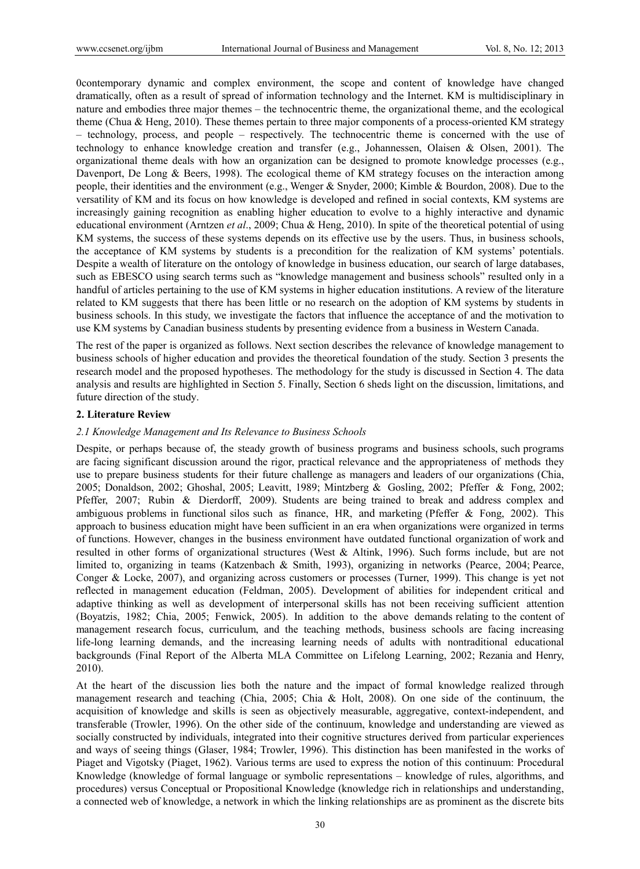0contemporary dynamic and complex environment, the scope and content of knowledge have changed dramatically, often as a result of spread of information technology and the Internet. KM is multidisciplinary in nature and embodies three major themes – the technocentric theme, the organizational theme, and the ecological theme (Chua & Heng, 2010). These themes pertain to three major components of a process-oriented KM strategy – technology, process, and people – respectively. The technocentric theme is concerned with the use of technology to enhance knowledge creation and transfer (e.g., Johannessen, Olaisen & Olsen, 2001). The organizational theme deals with how an organization can be designed to promote knowledge processes (e.g., Davenport, De Long & Beers, 1998). The ecological theme of KM strategy focuses on the interaction among people, their identities and the environment (e.g., Wenger & Snyder, 2000; Kimble & Bourdon, 2008). Due to the versatility of KM and its focus on how knowledge is developed and refined in social contexts, KM systems are increasingly gaining recognition as enabling higher education to evolve to a highly interactive and dynamic educational environment (Arntzen *et al*., 2009; Chua & Heng, 2010). In spite of the theoretical potential of using KM systems, the success of these systems depends on its effective use by the users. Thus, in business schools, the acceptance of KM systems by students is a precondition for the realization of KM systems' potentials. Despite a wealth of literature on the ontology of knowledge in business education, our search of large databases, such as EBESCO using search terms such as "knowledge management and business schools" resulted only in a handful of articles pertaining to the use of KM systems in higher education institutions. A review of the literature related to KM suggests that there has been little or no research on the adoption of KM systems by students in business schools. In this study, we investigate the factors that influence the acceptance of and the motivation to use KM systems by Canadian business students by presenting evidence from a business in Western Canada.

The rest of the paper is organized as follows. Next section describes the relevance of knowledge management to business schools of higher education and provides the theoretical foundation of the study. Section 3 presents the research model and the proposed hypotheses. The methodology for the study is discussed in Section 4. The data analysis and results are highlighted in Section 5. Finally, Section 6 sheds light on the discussion, limitations, and future direction of the study.

### **2. Literature Review**

#### *2.1 Knowledge Management and Its Relevance to Business Schools*

Despite, or perhaps because of, the steady growth of business programs and business schools, such programs are facing significant discussion around the rigor, practical relevance and the appropriateness of methods they use to prepare business students for their future challenge as managers and leaders of our organizations (Chia, 2005; Donaldson, 2002; Ghoshal, 2005; Leavitt, 1989; Mintzberg & Gosling, 2002; Pfeffer & Fong, 2002; Pfeffer, 2007; Rubin & Dierdorff, 2009). Students are being trained to break and address complex and ambiguous problems in functional silos such as finance, HR, and marketing (Pfeffer & Fong, 2002). This approach to business education might have been sufficient in an era when organizations were organized in terms of functions. However, changes in the business environment have outdated functional organization of work and resulted in other forms of organizational structures (West & Altink, 1996). Such forms include, but are not limited to, organizing in teams (Katzenbach & Smith, 1993), organizing in networks (Pearce, 2004; Pearce, Conger & Locke, 2007), and organizing across customers or processes (Turner, 1999). This change is yet not reflected in management education (Feldman, 2005). Development of abilities for independent critical and adaptive thinking as well as development of interpersonal skills has not been receiving sufficient attention (Boyatzis, 1982; Chia, 2005; Fenwick, 2005). In addition to the above demands relating to the content of management research focus, curriculum, and the teaching methods, business schools are facing increasing life-long learning demands, and the increasing learning needs of adults with nontraditional educational backgrounds (Final Report of the Alberta MLA Committee on Lifelong Learning, 2002; Rezania and Henry, 2010).

At the heart of the discussion lies both the nature and the impact of formal knowledge realized through management research and teaching (Chia, 2005; Chia & Holt, 2008). On one side of the continuum, the acquisition of knowledge and skills is seen as objectively measurable, aggregative, context-independent, and transferable (Trowler, 1996). On the other side of the continuum, knowledge and understanding are viewed as socially constructed by individuals, integrated into their cognitive structures derived from particular experiences and ways of seeing things (Glaser, 1984; Trowler, 1996). This distinction has been manifested in the works of Piaget and Vigotsky (Piaget, 1962). Various terms are used to express the notion of this continuum: Procedural Knowledge (knowledge of formal language or symbolic representations – knowledge of rules, algorithms, and procedures) versus Conceptual or Propositional Knowledge (knowledge rich in relationships and understanding, a connected web of knowledge, a network in which the linking relationships are as prominent as the discrete bits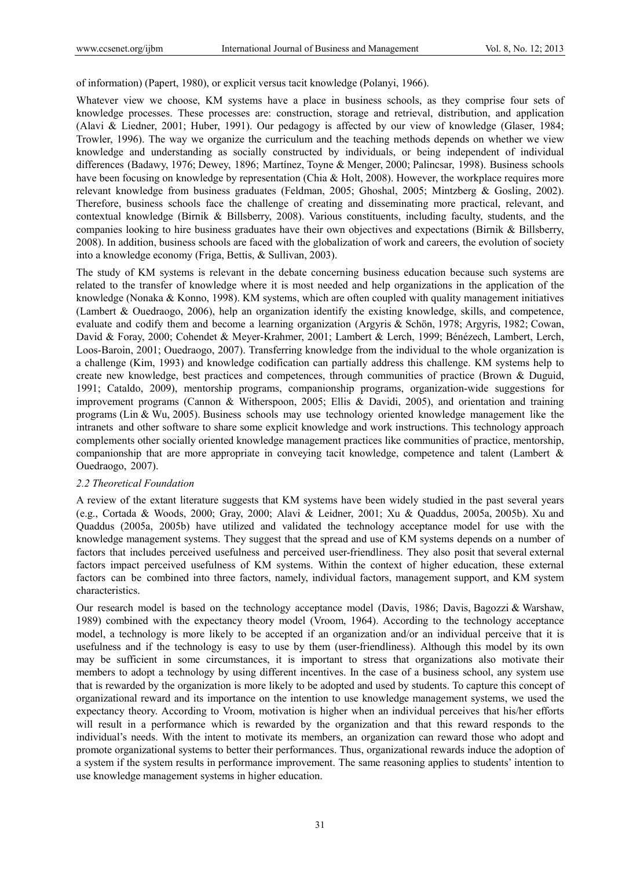of information) (Papert, 1980), or explicit versus tacit knowledge (Polanyi, 1966).

Whatever view we choose, KM systems have a place in business schools, as they comprise four sets of knowledge processes. These processes are: construction, storage and retrieval, distribution, and application (Alavi & Liedner, 2001; Huber, 1991). Our pedagogy is affected by our view of knowledge (Glaser, 1984; Trowler, 1996). The way we organize the curriculum and the teaching methods depends on whether we view knowledge and understanding as socially constructed by individuals, or being independent of individual differences (Badawy, 1976; Dewey, 1896; Martínez, Toyne & Menger, 2000; Palincsar, 1998). Business schools have been focusing on knowledge by representation (Chia & Holt, 2008). However, the workplace requires more relevant knowledge from business graduates (Feldman, 2005; Ghoshal, 2005; Mintzberg & Gosling, 2002). Therefore, business schools face the challenge of creating and disseminating more practical, relevant, and contextual knowledge (Birnik & Billsberry, 2008). Various constituents, including faculty, students, and the companies looking to hire business graduates have their own objectives and expectations (Birnik & Billsberry, 2008). In addition, business schools are faced with the globalization of work and careers, the evolution of society into a knowledge economy (Friga, Bettis, & Sullivan, 2003).

The study of KM systems is relevant in the debate concerning business education because such systems are related to the transfer of knowledge where it is most needed and help organizations in the application of the knowledge (Nonaka & Konno, 1998). KM systems, which are often coupled with quality management initiatives (Lambert & Ouedraogo, 2006), help an organization identify the existing knowledge, skills, and competence, evaluate and codify them and become a learning organization (Argyris & Schön, 1978; Argyris, 1982; Cowan, David & Foray, 2000; Cohendet & Meyer-Krahmer, 2001; Lambert & Lerch, 1999; Bénézech, Lambert, Lerch, Loos-Baroin, 2001; Ouedraogo, 2007). Transferring knowledge from the individual to the whole organization is a challenge (Kim, 1993) and knowledge codification can partially address this challenge. KM systems help to create new knowledge, best practices and competences, through communities of practice (Brown & Duguid, 1991; Cataldo, 2009), mentorship programs, companionship programs, organization-wide suggestions for improvement programs (Cannon & Witherspoon, 2005; Ellis & Davidi, 2005), and orientation and training programs (Lin & Wu, 2005). Business schools may use technology oriented knowledge management like the intranets and other software to share some explicit knowledge and work instructions. This technology approach complements other socially oriented knowledge management practices like communities of practice, mentorship, companionship that are more appropriate in conveying tacit knowledge, competence and talent (Lambert & Ouedraogo, 2007).

#### *2.2 Theoretical Foundation*

A review of the extant literature suggests that KM systems have been widely studied in the past several years (e.g., Cortada & Woods, 2000; Gray, 2000; Alavi & Leidner, 2001; Xu & Quaddus, 2005a, 2005b). Xu and Quaddus (2005a, 2005b) have utilized and validated the technology acceptance model for use with the knowledge management systems. They suggest that the spread and use of KM systems depends on a number of factors that includes perceived usefulness and perceived user-friendliness. They also posit that several external factors impact perceived usefulness of KM systems. Within the context of higher education, these external factors can be combined into three factors, namely, individual factors, management support, and KM system characteristics.

Our research model is based on the technology acceptance model (Davis, 1986; Davis, Bagozzi & Warshaw, 1989) combined with the expectancy theory model (Vroom, 1964). According to the technology acceptance model, a technology is more likely to be accepted if an organization and/or an individual perceive that it is usefulness and if the technology is easy to use by them (user-friendliness). Although this model by its own may be sufficient in some circumstances, it is important to stress that organizations also motivate their members to adopt a technology by using different incentives. In the case of a business school, any system use that is rewarded by the organization is more likely to be adopted and used by students. To capture this concept of organizational reward and its importance on the intention to use knowledge management systems, we used the expectancy theory. According to Vroom, motivation is higher when an individual perceives that his/her efforts will result in a performance which is rewarded by the organization and that this reward responds to the individual's needs. With the intent to motivate its members, an organization can reward those who adopt and promote organizational systems to better their performances. Thus, organizational rewards induce the adoption of a system if the system results in performance improvement. The same reasoning applies to students' intention to use knowledge management systems in higher education.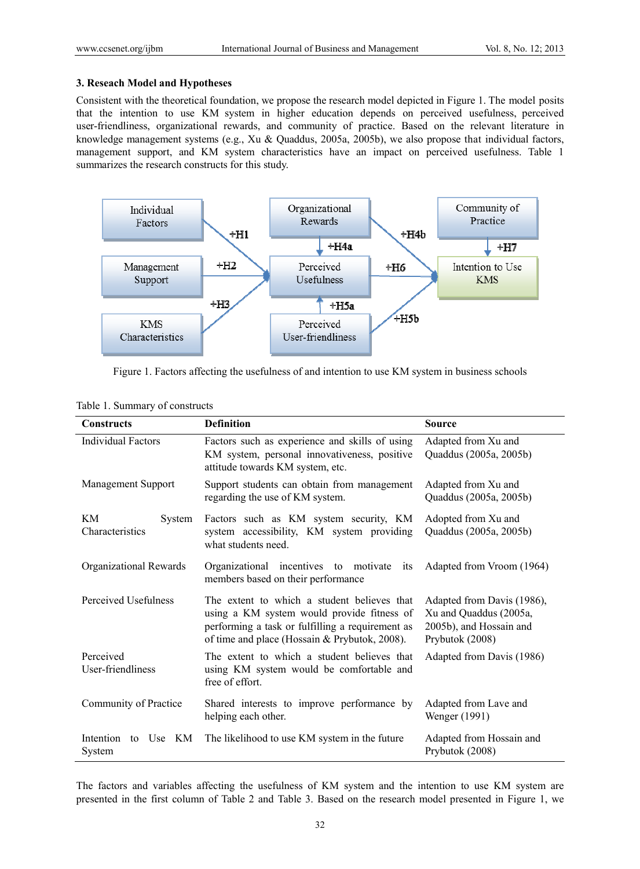# **3. Reseach Model and Hypotheses**

Consistent with the theoretical foundation, we propose the research model depicted in Figure 1. The model posits that the intention to use KM system in higher education depends on perceived usefulness, perceived user-friendliness, organizational rewards, and community of practice. Based on the relevant literature in knowledge management systems (e.g., Xu & Quaddus, 2005a, 2005b), we also propose that individual factors, management support, and KM system characteristics have an impact on perceived usefulness. Table 1 summarizes the research constructs for this study.



Figure 1. Factors affecting the usefulness of and intention to use KM system in business schools

| <b>Constructs</b>                | <b>Definition</b>                                                                                                                                                                              | <b>Source</b>                                                                                      |  |  |  |  |  |
|----------------------------------|------------------------------------------------------------------------------------------------------------------------------------------------------------------------------------------------|----------------------------------------------------------------------------------------------------|--|--|--|--|--|
| <b>Individual Factors</b>        | Factors such as experience and skills of using<br>KM system, personal innovativeness, positive<br>attitude towards KM system, etc.                                                             | Adapted from Xu and<br>Quaddus (2005a, 2005b)                                                      |  |  |  |  |  |
| Management Support               | Support students can obtain from management<br>Adapted from Xu and<br>regarding the use of KM system.<br>Quaddus (2005a, 2005b)                                                                |                                                                                                    |  |  |  |  |  |
| KM<br>System<br>Characteristics  | Adopted from Xu and<br>Quaddus (2005a, 2005b)                                                                                                                                                  |                                                                                                    |  |  |  |  |  |
| Organizational Rewards           | Organizational incentives to motivate<br>its<br>members based on their performance                                                                                                             | Adapted from Vroom (1964)                                                                          |  |  |  |  |  |
| Perceived Usefulness             | The extent to which a student believes that<br>using a KM system would provide fitness of<br>performing a task or fulfilling a requirement as<br>of time and place (Hossain & Prybutok, 2008). | Adapted from Davis (1986),<br>Xu and Quaddus (2005a,<br>2005b), and Hossain and<br>Prybutok (2008) |  |  |  |  |  |
| Perceived<br>User-friendliness   | The extent to which a student believes that<br>using KM system would be comfortable and<br>free of effort.                                                                                     | Adapted from Davis (1986)                                                                          |  |  |  |  |  |
| Community of Practice            | Shared interests to improve performance by<br>helping each other.                                                                                                                              | Adapted from Lave and<br>Wenger (1991)                                                             |  |  |  |  |  |
| Intention<br>to Use KM<br>System | The likelihood to use KM system in the future                                                                                                                                                  | Adapted from Hossain and<br>Prybutok (2008)                                                        |  |  |  |  |  |

## Table 1. Summary of constructs

The factors and variables affecting the usefulness of KM system and the intention to use KM system are presented in the first column of Table 2 and Table 3. Based on the research model presented in Figure 1, we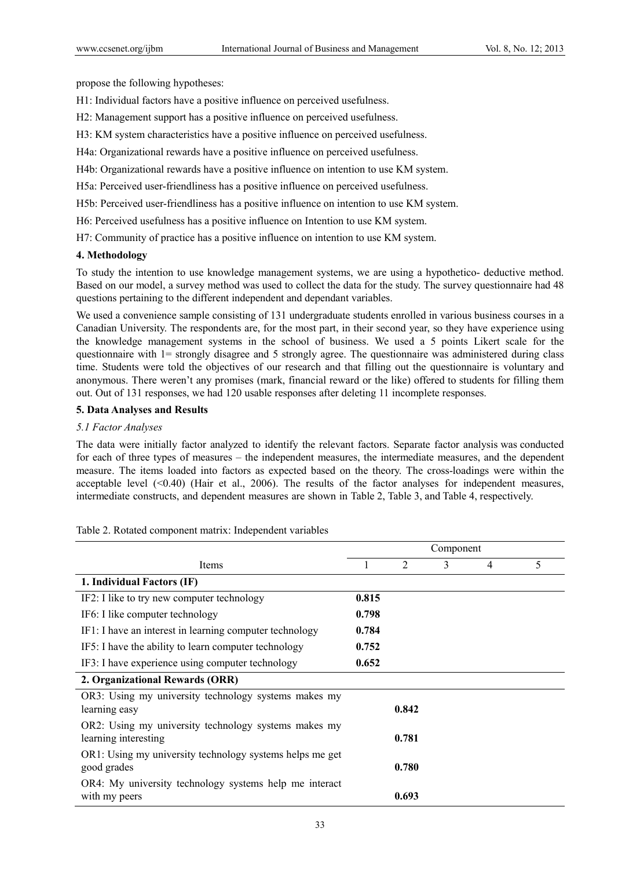propose the following hypotheses:

H1: Individual factors have a positive influence on perceived usefulness.

H2: Management support has a positive influence on perceived usefulness.

H3: KM system characteristics have a positive influence on perceived usefulness.

H4a: Organizational rewards have a positive influence on perceived usefulness.

H4b: Organizational rewards have a positive influence on intention to use KM system.

H5a: Perceived user-friendliness has a positive influence on perceived usefulness.

H5b: Perceived user-friendliness has a positive influence on intention to use KM system.

H6: Perceived usefulness has a positive influence on Intention to use KM system.

H7: Community of practice has a positive influence on intention to use KM system.

# **4. Methodology**

To study the intention to use knowledge management systems, we are using a hypothetico- deductive method. Based on our model, a survey method was used to collect the data for the study. The survey questionnaire had 48 questions pertaining to the different independent and dependant variables.

We used a convenience sample consisting of 131 undergraduate students enrolled in various business courses in a Canadian University. The respondents are, for the most part, in their second year, so they have experience using the knowledge management systems in the school of business. We used a 5 points Likert scale for the questionnaire with 1= strongly disagree and 5 strongly agree. The questionnaire was administered during class time. Students were told the objectives of our research and that filling out the questionnaire is voluntary and anonymous. There weren't any promises (mark, financial reward or the like) offered to students for filling them out. Out of 131 responses, we had 120 usable responses after deleting 11 incomplete responses.

# **5. Data Analyses and Results**

# *5.1 Factor Analyses*

The data were initially factor analyzed to identify the relevant factors. Separate factor analysis was conducted for each of three types of measures – the independent measures, the intermediate measures, and the dependent measure. The items loaded into factors as expected based on the theory. The cross-loadings were within the acceptable level  $( $0.40$ ) (Hair et al., 2006). The results of the factor analyses for independent measures,$ intermediate constructs, and dependent measures are shown in Table 2, Table 3, and Table 4, respectively.

|                                                                              | Component |                |   |   |   |
|------------------------------------------------------------------------------|-----------|----------------|---|---|---|
| Items                                                                        |           | $\overline{2}$ | 3 | 4 | 5 |
| 1. Individual Factors (IF)                                                   |           |                |   |   |   |
| IF2: I like to try new computer technology                                   | 0.815     |                |   |   |   |
| IF6: I like computer technology                                              | 0.798     |                |   |   |   |
| IF1: I have an interest in learning computer technology                      | 0.784     |                |   |   |   |
| IF5: I have the ability to learn computer technology                         | 0.752     |                |   |   |   |
| IF3: I have experience using computer technology                             | 0.652     |                |   |   |   |
| 2. Organizational Rewards (ORR)                                              |           |                |   |   |   |
| OR3: Using my university technology systems makes my<br>learning easy        |           | 0.842          |   |   |   |
| OR2: Using my university technology systems makes my<br>learning interesting |           | 0.781          |   |   |   |
| OR1: Using my university technology systems helps me get<br>good grades      |           | 0.780          |   |   |   |
| OR4: My university technology systems help me interact<br>with my peers      |           | 0.693          |   |   |   |

Table 2. Rotated component matrix: Independent variables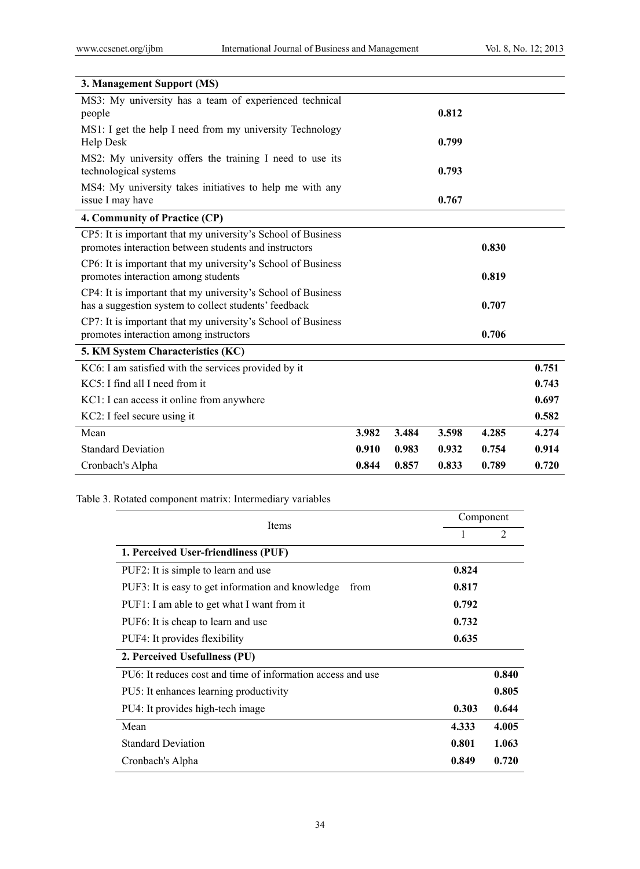| 3. Management Support (MS)                                                                                            |       |       |       |       |       |
|-----------------------------------------------------------------------------------------------------------------------|-------|-------|-------|-------|-------|
| MS3: My university has a team of experienced technical<br>people                                                      |       |       | 0.812 |       |       |
| MS1: I get the help I need from my university Technology<br>Help Desk                                                 |       |       | 0.799 |       |       |
| MS2: My university offers the training I need to use its<br>technological systems                                     |       |       | 0.793 |       |       |
| MS4: My university takes initiatives to help me with any<br>issue I may have                                          |       |       | 0.767 |       |       |
| 4. Community of Practice (CP)                                                                                         |       |       |       |       |       |
| CP5: It is important that my university's School of Business<br>promotes interaction between students and instructors |       |       |       | 0.830 |       |
| CP6: It is important that my university's School of Business<br>promotes interaction among students                   |       |       |       | 0.819 |       |
| CP4: It is important that my university's School of Business<br>has a suggestion system to collect students' feedback |       |       |       | 0.707 |       |
| CP7: It is important that my university's School of Business<br>promotes interaction among instructors                |       |       |       | 0.706 |       |
| 5. KM System Characteristics (KC)                                                                                     |       |       |       |       |       |
| KC6: I am satisfied with the services provided by it                                                                  |       |       |       |       | 0.751 |
| KC5: I find all I need from it                                                                                        |       |       |       |       | 0.743 |
| KC1: I can access it online from anywhere                                                                             |       |       |       |       | 0.697 |
| KC2: I feel secure using it                                                                                           |       |       |       |       | 0.582 |
| Mean                                                                                                                  | 3.982 | 3.484 | 3.598 | 4.285 | 4.274 |
| <b>Standard Deviation</b>                                                                                             | 0.910 | 0.983 | 0.932 | 0.754 | 0.914 |
| Cronbach's Alpha                                                                                                      | 0.844 | 0.857 | 0.833 | 0.789 | 0.720 |

# Table 3. Rotated component matrix: Intermediary variables

| Items                                                       | Component |                |  |  |
|-------------------------------------------------------------|-----------|----------------|--|--|
|                                                             |           | $\overline{2}$ |  |  |
| 1. Perceived User-friendliness (PUF)                        |           |                |  |  |
| PUF2: It is simple to learn and use                         | 0.824     |                |  |  |
| PUF3: It is easy to get information and knowledge<br>from   | 0.817     |                |  |  |
| PUF1: I am able to get what I want from it                  | 0.792     |                |  |  |
| PUF6: It is cheap to learn and use                          | 0.732     |                |  |  |
| PUF4: It provides flexibility                               | 0.635     |                |  |  |
| 2. Perceived Usefullness (PU)                               |           |                |  |  |
| PU6: It reduces cost and time of information access and use |           | 0.840          |  |  |
| PU5: It enhances learning productivity                      |           | 0.805          |  |  |
| PU4: It provides high-tech image                            | 0.303     | 0.644          |  |  |
| Mean                                                        | 4.333     | 4.005          |  |  |
| <b>Standard Deviation</b>                                   | 0.801     | 1.063          |  |  |
| Cronbach's Alpha                                            | 0.849     | 0.720          |  |  |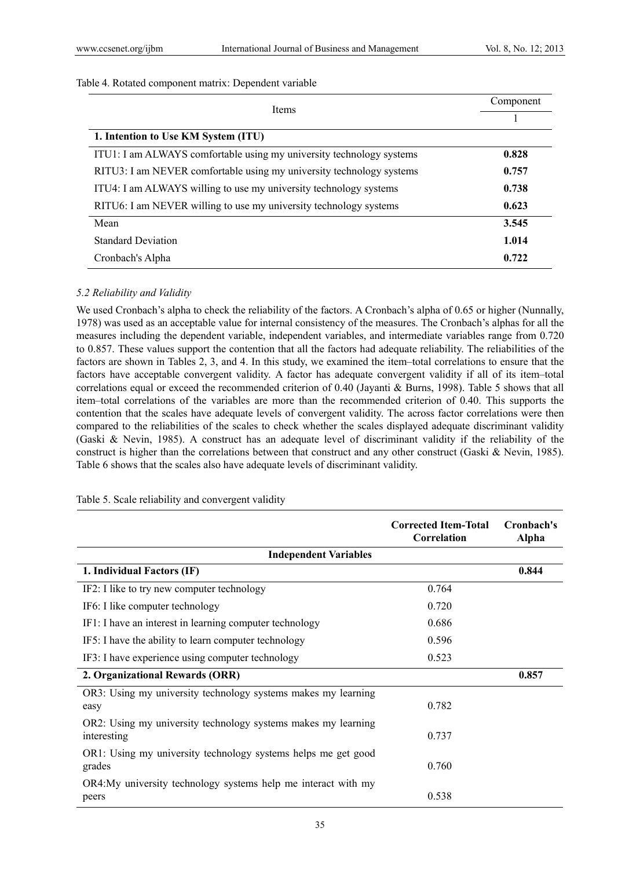## Table 4. Rotated component matrix: Dependent variable

| <b>Items</b>                                                         | Component |
|----------------------------------------------------------------------|-----------|
|                                                                      |           |
| 1. Intention to Use KM System (ITU)                                  |           |
| ITU1: I am ALWAYS comfortable using my university technology systems | 0.828     |
| RITU3: I am NEVER comfortable using my university technology systems | 0.757     |
| ITU4: I am ALWAYS willing to use my university technology systems    | 0.738     |
| RITU6: I am NEVER willing to use my university technology systems    | 0.623     |
| Mean                                                                 | 3.545     |
| <b>Standard Deviation</b>                                            | 1.014     |
| Cronbach's Alpha                                                     | 0.722     |

# *5.2 Reliability and Validity*

We used Cronbach's alpha to check the reliability of the factors. A Cronbach's alpha of 0.65 or higher (Nunnally, 1978) was used as an acceptable value for internal consistency of the measures. The Cronbach's alphas for all the measures including the dependent variable, independent variables, and intermediate variables range from 0.720 to 0.857. These values support the contention that all the factors had adequate reliability. The reliabilities of the factors are shown in Tables 2, 3, and 4. In this study, we examined the item–total correlations to ensure that the factors have acceptable convergent validity. A factor has adequate convergent validity if all of its item–total correlations equal or exceed the recommended criterion of 0.40 (Jayanti & Burns, 1998). Table 5 shows that all item–total correlations of the variables are more than the recommended criterion of 0.40. This supports the contention that the scales have adequate levels of convergent validity. The across factor correlations were then compared to the reliabilities of the scales to check whether the scales displayed adequate discriminant validity (Gaski & Nevin, 1985). A construct has an adequate level of discriminant validity if the reliability of the construct is higher than the correlations between that construct and any other construct (Gaski & Nevin, 1985). Table 6 shows that the scales also have adequate levels of discriminant validity.

|                                                                              | <b>Corrected Item-Total</b><br>Correlation | Cronbach's<br>Alpha |
|------------------------------------------------------------------------------|--------------------------------------------|---------------------|
| <b>Independent Variables</b>                                                 |                                            |                     |
| 1. Individual Factors (IF)                                                   |                                            | 0.844               |
| IF2: I like to try new computer technology                                   | 0.764                                      |                     |
| IF6: I like computer technology                                              | 0.720                                      |                     |
| IF1: I have an interest in learning computer technology                      | 0.686                                      |                     |
| IF5: I have the ability to learn computer technology                         | 0.596                                      |                     |
| IF3: I have experience using computer technology                             | 0.523                                      |                     |
| 2. Organizational Rewards (ORR)                                              |                                            | 0.857               |
| OR3: Using my university technology systems makes my learning<br>easy        | 0.782                                      |                     |
| OR2: Using my university technology systems makes my learning<br>interesting | 0.737                                      |                     |
| OR1: Using my university technology systems helps me get good<br>grades      | 0.760                                      |                     |
| OR4: My university technology systems help me interact with my<br>peers      | 0.538                                      |                     |

## Table 5. Scale reliability and convergent validity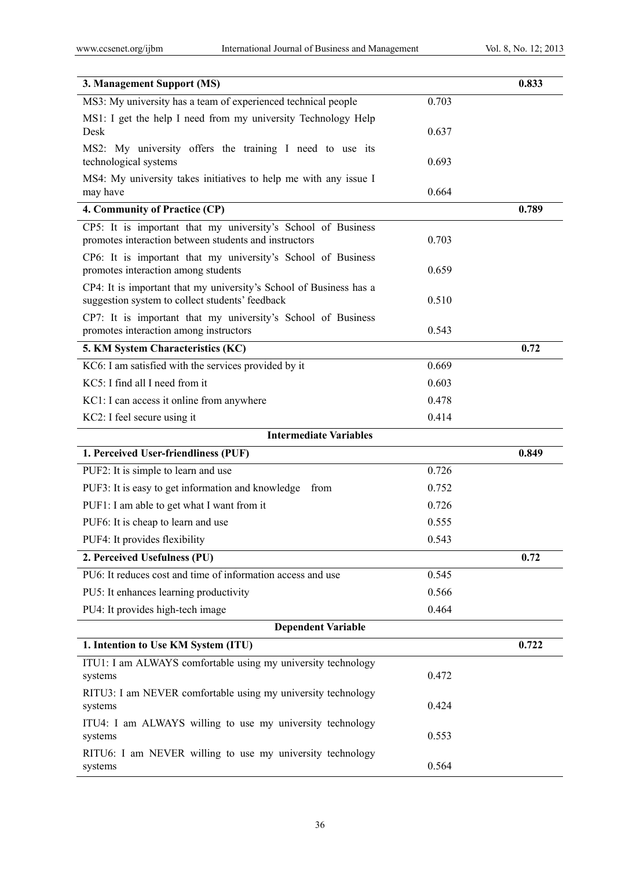| 3. Management Support (MS)                                                                                            |       | 0.833 |
|-----------------------------------------------------------------------------------------------------------------------|-------|-------|
| MS3: My university has a team of experienced technical people                                                         | 0.703 |       |
| MS1: I get the help I need from my university Technology Help<br>Desk                                                 | 0.637 |       |
| MS2: My university offers the training I need to use its<br>technological systems                                     | 0.693 |       |
| MS4: My university takes initiatives to help me with any issue I<br>may have                                          | 0.664 |       |
| 4. Community of Practice (CP)                                                                                         |       | 0.789 |
| CP5: It is important that my university's School of Business<br>promotes interaction between students and instructors | 0.703 |       |
| CP6: It is important that my university's School of Business<br>promotes interaction among students                   | 0.659 |       |
| CP4: It is important that my university's School of Business has a<br>suggestion system to collect students' feedback | 0.510 |       |
| CP7: It is important that my university's School of Business<br>promotes interaction among instructors                | 0.543 |       |
| 5. KM System Characteristics (KC)                                                                                     |       | 0.72  |
| KC6: I am satisfied with the services provided by it                                                                  | 0.669 |       |
| KC5: I find all I need from it                                                                                        | 0.603 |       |
| KC1: I can access it online from anywhere                                                                             | 0.478 |       |
| KC2: I feel secure using it                                                                                           | 0.414 |       |
| <b>Intermediate Variables</b>                                                                                         |       |       |
| 1. Perceived User-friendliness (PUF)                                                                                  |       | 0.849 |
| PUF2: It is simple to learn and use                                                                                   | 0.726 |       |
| PUF3: It is easy to get information and knowledge<br>from                                                             | 0.752 |       |
| PUF1: I am able to get what I want from it                                                                            | 0.726 |       |
| PUF6: It is cheap to learn and use                                                                                    | 0.555 |       |
| PUF4: It provides flexibility                                                                                         | 0.543 |       |
| 2. Perceived Usefulness (PU)                                                                                          |       | 0.72  |
| PU6: It reduces cost and time of information access and use                                                           | 0.545 |       |
| PU5: It enhances learning productivity                                                                                | 0.566 |       |
| PU4: It provides high-tech image                                                                                      | 0.464 |       |
| <b>Dependent Variable</b>                                                                                             |       |       |
| 1. Intention to Use KM System (ITU)                                                                                   |       | 0.722 |
| ITU1: I am ALWAYS comfortable using my university technology<br>systems                                               | 0.472 |       |
| RITU3: I am NEVER comfortable using my university technology<br>systems                                               | 0.424 |       |
| ITU4: I am ALWAYS willing to use my university technology<br>systems                                                  | 0.553 |       |
| RITU6: I am NEVER willing to use my university technology<br>systems                                                  | 0.564 |       |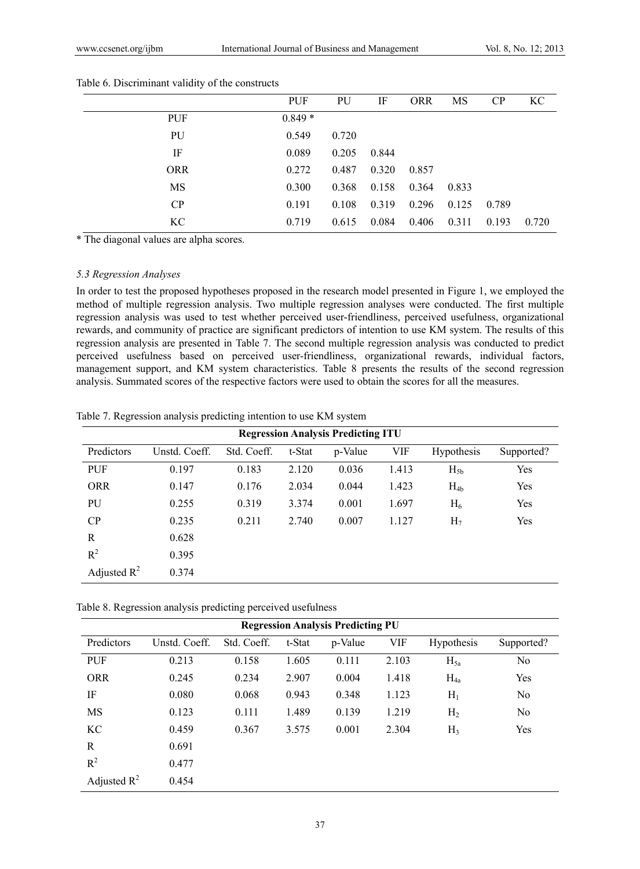|            | <b>PUF</b> | PU    | IF    | <b>ORR</b> | MS    | CP    | KC    |
|------------|------------|-------|-------|------------|-------|-------|-------|
| <b>PUF</b> | $0.849*$   |       |       |            |       |       |       |
| PU         | 0.549      | 0.720 |       |            |       |       |       |
| IF         | 0.089      | 0.205 | 0.844 |            |       |       |       |
| <b>ORR</b> | 0.272      | 0.487 | 0.320 | 0.857      |       |       |       |
| MS         | 0.300      | 0.368 | 0.158 | 0.364      | 0.833 |       |       |
| CP         | 0.191      | 0.108 | 0.319 | 0.296      | 0.125 | 0.789 |       |
| KС         | 0.719      | 0.615 | 0.084 | 0.406      | 0.311 | 0.193 | 0.720 |

#### Table 6. Discriminant validity of the constructs

\* The diagonal values are alpha scores.

# *5.3 Regression Analyses*

In order to test the proposed hypotheses proposed in the research model presented in Figure 1, we employed the method of multiple regression analysis. Two multiple regression analyses were conducted. The first multiple regression analysis was used to test whether perceived user-friendliness, perceived usefulness, organizational rewards, and community of practice are significant predictors of intention to use KM system. The results of this regression analysis are presented in Table 7. The second multiple regression analysis was conducted to predict perceived usefulness based on perceived user-friendliness, organizational rewards, individual factors, management support, and KM system characteristics. Table 8 presents the results of the second regression analysis. Summated scores of the respective factors were used to obtain the scores for all the measures.

|  |  |  | Table 7. Regression analysis predicting intention to use KM system |
|--|--|--|--------------------------------------------------------------------|
|  |  |  |                                                                    |

| <b>Regression Analysis Predicting ITU</b> |               |             |        |         |       |                   |            |  |
|-------------------------------------------|---------------|-------------|--------|---------|-------|-------------------|------------|--|
| Predictors                                | Unstd. Coeff. | Std. Coeff. | t-Stat | p-Value | VIF   | <b>Hypothesis</b> | Supported? |  |
| <b>PUF</b>                                | 0.197         | 0.183       | 2.120  | 0.036   | 1.413 | $H_{5h}$          | Yes        |  |
| <b>ORR</b>                                | 0.147         | 0.176       | 2.034  | 0.044   | 1.423 | $H_{4b}$          | Yes        |  |
| PU                                        | 0.255         | 0.319       | 3.374  | 0.001   | 1.697 | $H_6$             | Yes        |  |
| CP                                        | 0.235         | 0.211       | 2.740  | 0.007   | 1.127 | H <sub>7</sub>    | Yes        |  |
| R                                         | 0.628         |             |        |         |       |                   |            |  |
| $R^2$                                     | 0.395         |             |        |         |       |                   |            |  |
| Adjusted $R^2$                            | 0.374         |             |        |         |       |                   |            |  |

Table 8. Regression analysis predicting perceived usefulness

| <b>Regression Analysis Predicting PU</b> |               |             |        |         |            |                   |                |  |  |
|------------------------------------------|---------------|-------------|--------|---------|------------|-------------------|----------------|--|--|
| Predictors                               | Unstd. Coeff. | Std. Coeff. | t-Stat | p-Value | <b>VIF</b> | <b>Hypothesis</b> | Supported?     |  |  |
| <b>PUF</b>                               | 0.213         | 0.158       | 1.605  | 0.111   | 2.103      | $H_{5a}$          | No             |  |  |
| <b>ORR</b>                               | 0.245         | 0.234       | 2.907  | 0.004   | 1.418      | $H_{4a}$          | Yes            |  |  |
| IF                                       | 0.080         | 0.068       | 0.943  | 0.348   | 1.123      | $H_1$             | N <sub>0</sub> |  |  |
| MS                                       | 0.123         | 0.111       | 1.489  | 0.139   | 1.219      | H <sub>2</sub>    | No             |  |  |
| KC                                       | 0.459         | 0.367       | 3.575  | 0.001   | 2.304      | H <sub>3</sub>    | Yes            |  |  |
| R                                        | 0.691         |             |        |         |            |                   |                |  |  |
| $R^2$                                    | 0.477         |             |        |         |            |                   |                |  |  |
| Adjusted $R^2$                           | 0.454         |             |        |         |            |                   |                |  |  |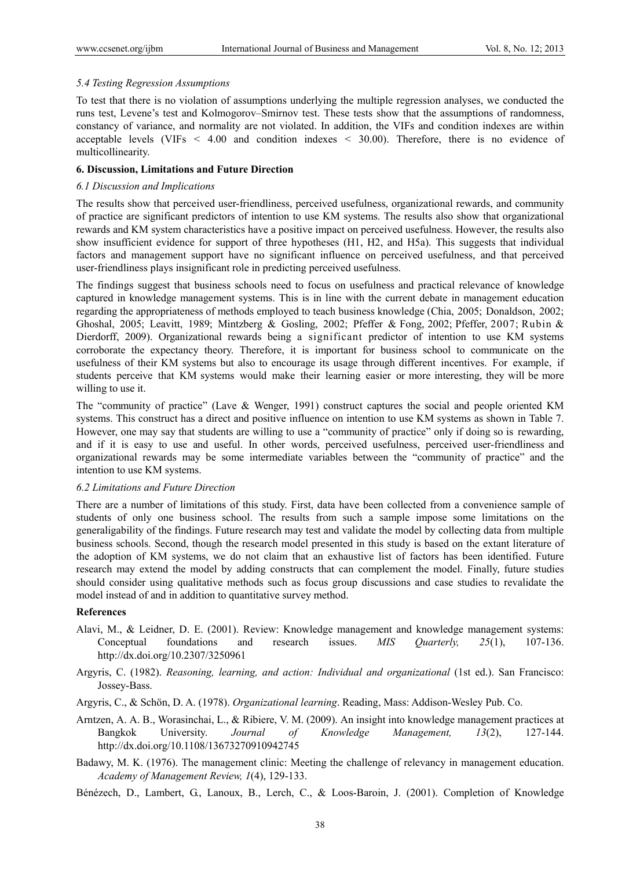### *5.4 Testing Regression Assumptions*

To test that there is no violation of assumptions underlying the multiple regression analyses, we conducted the runs test, Levene's test and Kolmogorov–Smirnov test. These tests show that the assumptions of randomness, constancy of variance, and normality are not violated. In addition, the VIFs and condition indexes are within acceptable levels (VIFs *<* 4.00 and condition indexes *<* 30.00). Therefore, there is no evidence of multicollinearity.

## **6. Discussion, Limitations and Future Direction**

#### *6.1 Discussion and Implications*

The results show that perceived user-friendliness, perceived usefulness, organizational rewards, and community of practice are significant predictors of intention to use KM systems. The results also show that organizational rewards and KM system characteristics have a positive impact on perceived usefulness. However, the results also show insufficient evidence for support of three hypotheses (H1, H2, and H5a). This suggests that individual factors and management support have no significant influence on perceived usefulness, and that perceived user-friendliness plays insignificant role in predicting perceived usefulness.

The findings suggest that business schools need to focus on usefulness and practical relevance of knowledge captured in knowledge management systems. This is in line with the current debate in management education regarding the appropriateness of methods employed to teach business knowledge (Chia, 2005; Donaldson, 2002; Ghoshal, 2005; Leavitt, 1989; Mintzberg & Gosling, 2002; Pfeffer & Fong, 2002; Pfeffer, 2007; Rubin & Dierdorff, 2009). Organizational rewards being a significant predictor of intention to use KM systems corroborate the expectancy theory. Therefore, it is important for business school to communicate on the usefulness of their KM systems but also to encourage its usage through different incentives. For example, if students perceive that KM systems would make their learning easier or more interesting, they will be more willing to use it.

The "community of practice" (Lave & Wenger, 1991) construct captures the social and people oriented KM systems. This construct has a direct and positive influence on intention to use KM systems as shown in Table 7. However, one may say that students are willing to use a "community of practice" only if doing so is rewarding, and if it is easy to use and useful. In other words, perceived usefulness, perceived user-friendliness and organizational rewards may be some intermediate variables between the "community of practice" and the intention to use KM systems.

#### *6.2 Limitations and Future Direction*

There are a number of limitations of this study. First, data have been collected from a convenience sample of students of only one business school. The results from such a sample impose some limitations on the generaligability of the findings. Future research may test and validate the model by collecting data from multiple business schools. Second, though the research model presented in this study is based on the extant literature of the adoption of KM systems, we do not claim that an exhaustive list of factors has been identified. Future research may extend the model by adding constructs that can complement the model. Finally, future studies should consider using qualitative methods such as focus group discussions and case studies to revalidate the model instead of and in addition to quantitative survey method.

## **References**

- Alavi, M., & Leidner, D. E. (2001). Review: Knowledge management and knowledge management systems: Conceptual foundations and research issues. *MIS Quarterly, 25*(1), 107-136. http://dx.doi.org/10.2307/3250961
- Argyris, C. (1982). *Reasoning, learning, and action: Individual and organizational* (1st ed.). San Francisco: Jossey-Bass.
- Argyris, C., & Schön, D. A. (1978). *Organizational learning*. Reading, Mass: Addison-Wesley Pub. Co.
- Arntzen, A. A. B., Worasinchai, L., & Ribiere, V. M. (2009). An insight into knowledge management practices at Bangkok University. *Journal of Knowledge Management, 13*(2), 127-144. http://dx.doi.org/10.1108/13673270910942745
- Badawy, M. K. (1976). The management clinic: Meeting the challenge of relevancy in management education. *Academy of Management Review, 1*(4), 129-133.
- Bénézech, D., Lambert, G., Lanoux, B., Lerch, C., & Loos-Baroin, J. (2001). Completion of Knowledge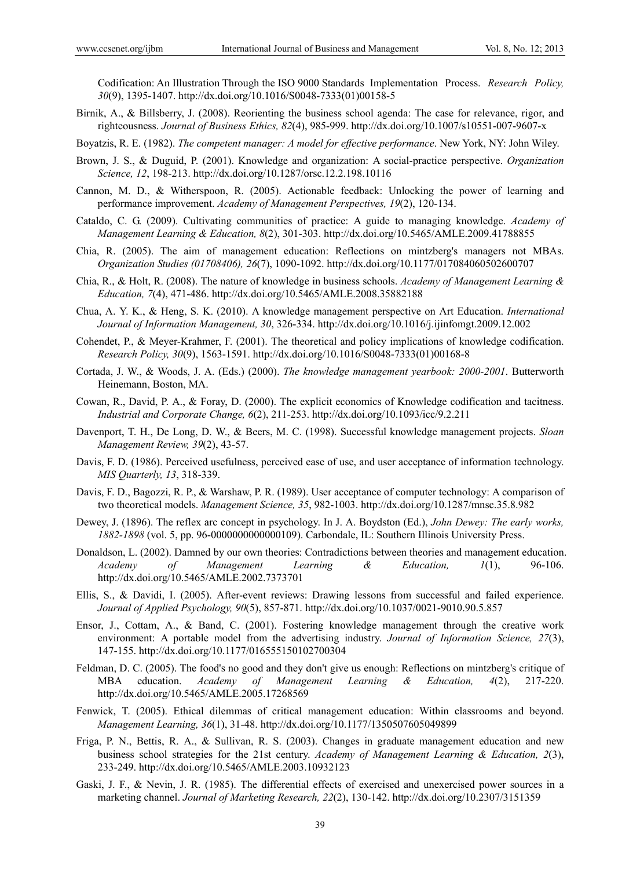Codification: An Illustration Through the ISO 9000 Standards Implementation Process. *Research Policy, 30*(9), 1395-1407. http://dx.doi.org/10.1016/S0048-7333(01)00158-5

Birnik, A., & Billsberry, J. (2008). Reorienting the business school agenda: The case for relevance, rigor, and righteousness. *Journal of Business Ethics, 82*(4), 985-999. http://dx.doi.org/10.1007/s10551-007-9607-x

Boyatzis, R. E. (1982). *The competent manager: A model for effective performance*. New York, NY: John Wiley.

- Brown, J. S., & Duguid, P. (2001). Knowledge and organization: A social-practice perspective. *Organization Science, 12*, 198-213. http://dx.doi.org/10.1287/orsc.12.2.198.10116
- Cannon, M. D., & Witherspoon, R. (2005). Actionable feedback: Unlocking the power of learning and performance improvement. *Academy of Management Perspectives, 19*(2), 120-134.
- Cataldo, C. G. (2009). Cultivating communities of practice: A guide to managing knowledge. *Academy of Management Learning & Education, 8*(2), 301-303. http://dx.doi.org/10.5465/AMLE.2009.41788855
- Chia, R. (2005). The aim of management education: Reflections on mintzberg's managers not MBAs. *Organization Studies (01708406), 26*(7), 1090-1092. http://dx.doi.org/10.1177/017084060502600707
- Chia, R., & Holt, R. (2008). The nature of knowledge in business schools. *Academy of Management Learning & Education, 7*(4), 471-486. http://dx.doi.org/10.5465/AMLE.2008.35882188
- Chua, A. Y. K., & Heng, S. K. (2010). A knowledge management perspective on Art Education. *International Journal of Information Management, 30*, 326-334. http://dx.doi.org/10.1016/j.ijinfomgt.2009.12.002
- Cohendet, P., & Meyer-Krahmer, F. (2001). The theoretical and policy implications of knowledge codification. *Research Policy, 30*(9), 1563-1591. http://dx.doi.org/10.1016/S0048-7333(01)00168-8
- Cortada, J. W., & Woods, J. A. (Eds.) (2000). *The knowledge management yearbook: 2000-2001*. Butterworth Heinemann, Boston, MA.
- Cowan, R., David, P. A., & Foray, D. (2000). The explicit economics of Knowledge codification and tacitness. *Industrial and Corporate Change, 6*(2), 211-253. http://dx.doi.org/10.1093/icc/9.2.211
- Davenport, T. H., De Long, D. W., & Beers, M. C. (1998). Successful knowledge management projects. *Sloan Management Review, 39*(2), 43-57.
- Davis, F. D. (1986). Perceived usefulness, perceived ease of use, and user acceptance of information technology. *MIS Quarterly, 13*, 318-339.
- Davis, F. D., Bagozzi, R. P., & Warshaw, P. R. (1989). User acceptance of computer technology: A comparison of two theoretical models. *Management Science, 35*, 982-1003. http://dx.doi.org/10.1287/mnsc.35.8.982
- Dewey, J. (1896). The reflex arc concept in psychology. In J. A. Boydston (Ed.), *John Dewey: The early works, 1882-1898* (vol. 5, pp. 96-0000000000000109). Carbondale, IL: Southern Illinois University Press.
- Donaldson, L. (2002). Damned by our own theories: Contradictions between theories and management education. *Academy of Management Learning & Education, 1*(1), 96-106. http://dx.doi.org/10.5465/AMLE.2002.7373701
- Ellis, S., & Davidi, I. (2005). After-event reviews: Drawing lessons from successful and failed experience. *Journal of Applied Psychology, 90*(5), 857-871. http://dx.doi.org/10.1037/0021-9010.90.5.857
- Ensor, J., Cottam, A., & Band, C. (2001). Fostering knowledge management through the creative work environment: A portable model from the advertising industry. *Journal of Information Science, 27*(3), 147-155. http://dx.doi.org/10.1177/016555150102700304
- Feldman, D. C. (2005). The food's no good and they don't give us enough: Reflections on mintzberg's critique of MBA education. *Academy of Management Learning & Education, 4*(2), 217-220. http://dx.doi.org/10.5465/AMLE.2005.17268569
- Fenwick, T. (2005). Ethical dilemmas of critical management education: Within classrooms and beyond. *Management Learning, 36*(1), 31-48. http://dx.doi.org/10.1177/1350507605049899
- Friga, P. N., Bettis, R. A., & Sullivan, R. S. (2003). Changes in graduate management education and new business school strategies for the 21st century. *Academy of Management Learning & Education, 2*(3), 233-249. http://dx.doi.org/10.5465/AMLE.2003.10932123
- Gaski, J. F., & Nevin, J. R. (1985). The differential effects of exercised and unexercised power sources in a marketing channel. *Journal of Marketing Research, 22*(2), 130-142. http://dx.doi.org/10.2307/3151359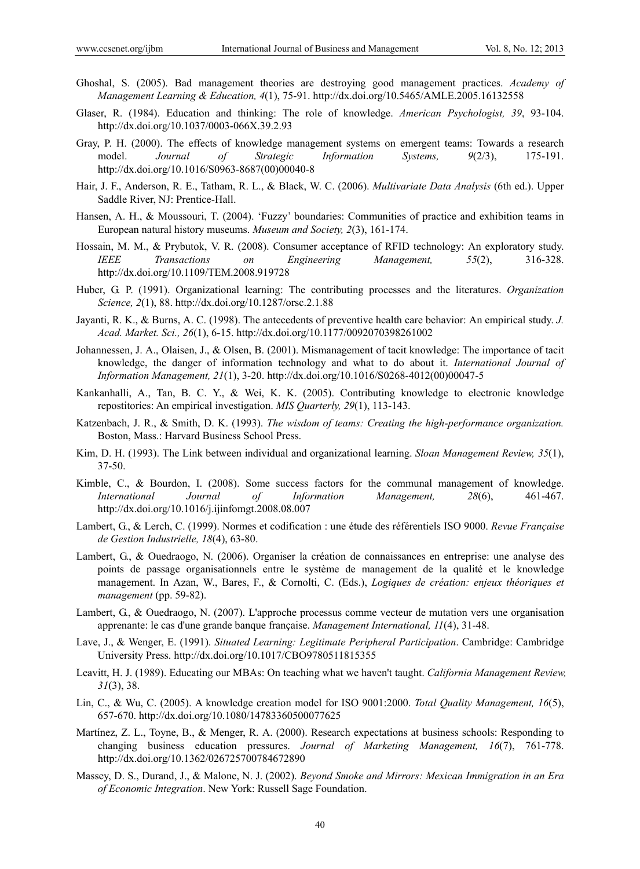- Ghoshal, S. (2005). Bad management theories are destroying good management practices. *Academy of Management Learning & Education, 4*(1), 75-91. http://dx.doi.org/10.5465/AMLE.2005.16132558
- Glaser, R. (1984). Education and thinking: The role of knowledge. *American Psychologist, 39*, 93-104. http://dx.doi.org/10.1037/0003-066X.39.2.93
- Gray, P. H. (2000). The effects of knowledge management systems on emergent teams: Towards a research model. *Journal of Strategic Information Systems, 9*(2/3), 175-191. http://dx.doi.org/10.1016/S0963-8687(00)00040-8
- Hair, J. F., Anderson, R. E., Tatham, R. L., & Black, W. C. (2006). *Multivariate Data Analysis* (6th ed.). Upper Saddle River, NJ: Prentice-Hall.
- Hansen, A. H., & Moussouri, T. (2004). 'Fuzzy' boundaries: Communities of practice and exhibition teams in European natural history museums. *Museum and Society, 2*(3), 161-174.
- Hossain, M. M., & Prybutok, V. R. (2008). Consumer acceptance of RFID technology: An exploratory study. *IEEE Transactions on Engineering Management, 55*(2), 316-328. http://dx.doi.org/10.1109/TEM.2008.919728
- Huber, G. P. (1991). Organizational learning: The contributing processes and the literatures. *Organization Science, 2*(1), 88. http://dx.doi.org/10.1287/orsc.2.1.88
- Jayanti, R. K., & Burns, A. C. (1998). The antecedents of preventive health care behavior: An empirical study. *J. Acad. Market. Sci., 26*(1), 6-15. http://dx.doi.org/10.1177/0092070398261002
- Johannessen, J. A., Olaisen, J., & Olsen, B. (2001). Mismanagement of tacit knowledge: The importance of tacit knowledge, the danger of information technology and what to do about it. *International Journal of Information Management, 21*(1), 3-20. http://dx.doi.org/10.1016/S0268-4012(00)00047-5
- Kankanhalli, A., Tan, B. C. Y., & Wei, K. K. (2005). Contributing knowledge to electronic knowledge repostitories: An empirical investigation. *MIS Quarterly, 29*(1), 113-143.
- Katzenbach, J. R., & Smith, D. K. (1993). *The wisdom of teams: Creating the high-performance organization.* Boston, Mass.: Harvard Business School Press.
- Kim, D. H. (1993). The Link between individual and organizational learning. *Sloan Management Review, 35*(1), 37-50.
- Kimble, C., & Bourdon, I. (2008). Some success factors for the communal management of knowledge. *International Journal of Information Management, 28*(6), 461-467. http://dx.doi.org/10.1016/j.ijinfomgt.2008.08.007
- Lambert, G., & Lerch, C. (1999). Normes et codification : une étude des référentiels ISO 9000. *Revue Française de Gestion Industrielle, 18*(4), 63-80.
- Lambert, G., & Ouedraogo, N. (2006). Organiser la création de connaissances en entreprise: une analyse des points de passage organisationnels entre le système de management de la qualité et le knowledge management. In Azan, W., Bares, F., & Cornolti, C. (Eds.), *Logiques de création: enjeux théoriques et management* (pp. 59-82).
- Lambert, G., & Ouedraogo, N. (2007). L'approche processus comme vecteur de mutation vers une organisation apprenante: le cas d'une grande banque française. *Management International, 11*(4), 31-48.
- Lave, J., & Wenger, E. (1991). *Situated Learning: Legitimate Peripheral Participation*. Cambridge: Cambridge University Press. http://dx.doi.org/10.1017/CBO9780511815355
- Leavitt, H. J. (1989). Educating our MBAs: On teaching what we haven't taught. *California Management Review, 31*(3), 38.
- Lin, C., & Wu, C. (2005). A knowledge creation model for ISO 9001:2000. *Total Quality Management, 16*(5), 657-670. http://dx.doi.org/10.1080/14783360500077625
- Martínez, Z. L., Toyne, B., & Menger, R. A. (2000). Research expectations at business schools: Responding to changing business education pressures. *Journal of Marketing Management, 16*(7), 761-778. http://dx.doi.org/10.1362/026725700784672890
- Massey, D. S., Durand, J., & Malone, N. J. (2002). *Beyond Smoke and Mirrors: Mexican Immigration in an Era of Economic Integration*. New York: Russell Sage Foundation.